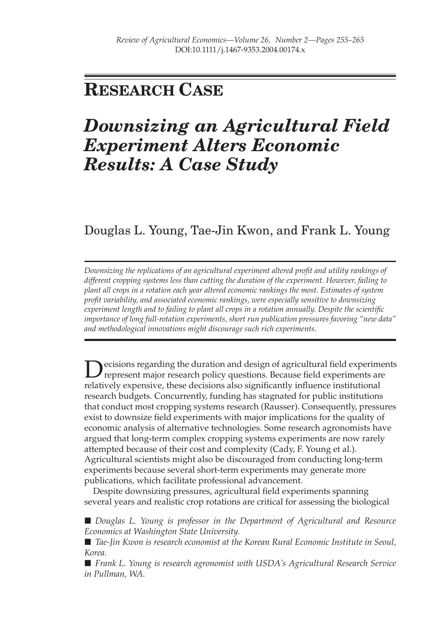## **RESEARCH CASE**

# *Downsizing an Agricultural Field Experiment Alters Economic Results: A Case Study*

Douglas L. Young, Tae-Jin Kwon, and Frank L. Young

*Downsizing the replications of an agricultural experiment altered profit and utility rankings of different cropping systems less than cutting the duration of the experiment. However, failing to plant all crops in a rotation each year altered economic rankings the most. Estimates of system profit variability, and associated economic rankings, were especially sensitive to downsizing experiment length and to failing to plant all crops in a rotation annually. Despite the scientific importance of long full-rotation experiments, short run publication pressures favoring "new data" and methodological innovations might discourage such rich experiments.*

ecisions regarding the duration and design of agricultural field experiments represent major research policy questions. Because field experiments are relatively expensive, these decisions also significantly influence institutional research budgets. Concurrently, funding has stagnated for public institutions that conduct most cropping systems research (Rausser). Consequently, pressures exist to downsize field experiments with major implications for the quality of economic analysis of alternative technologies. Some research agronomists have argued that long-term complex cropping systems experiments are now rarely attempted because of their cost and complexity (Cady, F. Young et al.). Agricultural scientists might also be discouraged from conducting long-term experiments because several short-term experiments may generate more publications, which facilitate professional advancement.

Despite downsizing pressures, agricultural field experiments spanning several years and realistic crop rotations are critical for assessing the biological

 *Douglas L. Young is professor in the Department of Agricultural and Resource Economics at Washington State University.*

 *Tae-Jin Kwon is research economist at the Korean Rural Economic Institute in Seoul, Korea.*

 *Frank L. Young is research agronomist with USDA's Agricultural Research Service in Pullman, WA.*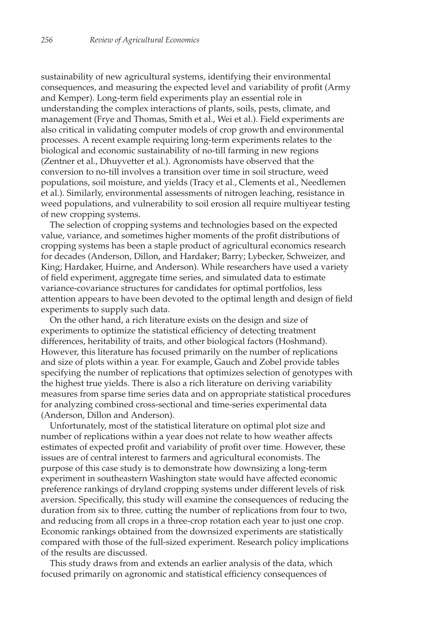sustainability of new agricultural systems, identifying their environmental consequences, and measuring the expected level and variability of profit (Army and Kemper). Long-term field experiments play an essential role in understanding the complex interactions of plants, soils, pests, climate, and management (Frye and Thomas, Smith et al., Wei et al.). Field experiments are also critical in validating computer models of crop growth and environmental processes. A recent example requiring long-term experiments relates to the biological and economic sustainability of no-till farming in new regions (Zentner et al., Dhuyvetter et al.). Agronomists have observed that the conversion to no-till involves a transition over time in soil structure, weed populations, soil moisture, and yields (Tracy et al., Clements et al., Needlemen et al.). Similarly, environmental assessments of nitrogen leaching, resistance in weed populations, and vulnerability to soil erosion all require multiyear testing of new cropping systems.

The selection of cropping systems and technologies based on the expected value, variance, and sometimes higher moments of the profit distributions of cropping systems has been a staple product of agricultural economics research for decades (Anderson, Dillon, and Hardaker; Barry; Lybecker, Schweizer, and King; Hardaker, Huirne, and Anderson). While researchers have used a variety of field experiment, aggregate time series, and simulated data to estimate variance-covariance structures for candidates for optimal portfolios, less attention appears to have been devoted to the optimal length and design of field experiments to supply such data.

On the other hand, a rich literature exists on the design and size of experiments to optimize the statistical efficiency of detecting treatment differences, heritability of traits, and other biological factors (Hoshmand). However, this literature has focused primarily on the number of replications and size of plots within a year. For example, Gauch and Zobel provide tables specifying the number of replications that optimizes selection of genotypes with the highest true yields. There is also a rich literature on deriving variability measures from sparse time series data and on appropriate statistical procedures for analyzing combined cross-sectional and time-series experimental data (Anderson, Dillon and Anderson).

Unfortunately, most of the statistical literature on optimal plot size and number of replications within a year does not relate to how weather affects estimates of expected profit and variability of profit over time. However, these issues are of central interest to farmers and agricultural economists. The purpose of this case study is to demonstrate how downsizing a long-term experiment in southeastern Washington state would have affected economic preference rankings of dryland cropping systems under different levels of risk aversion. Specifically, this study will examine the consequences of reducing the duration from six to three*,* cutting the number of replications from four to two, and reducing from all crops in a three-crop rotation each year to just one crop. Economic rankings obtained from the downsized experiments are statistically compared with those of the full-sized experiment. Research policy implications of the results are discussed.

This study draws from and extends an earlier analysis of the data, which focused primarily on agronomic and statistical efficiency consequences of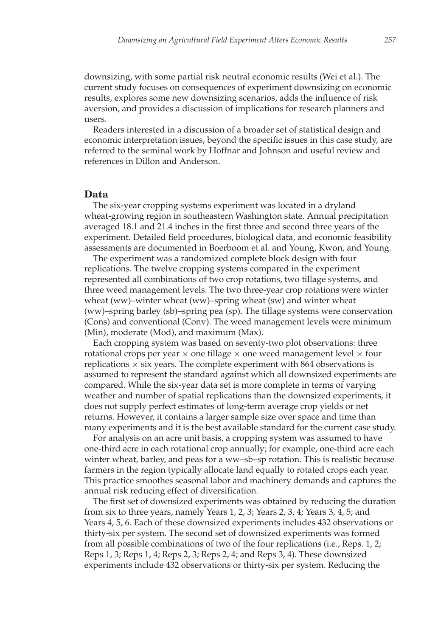downsizing, with some partial risk neutral economic results (Wei et al.). The current study focuses on consequences of experiment downsizing on economic results, explores some new downsizing scenarios, adds the influence of risk aversion, and provides a discussion of implications for research planners and users.

Readers interested in a discussion of a broader set of statistical design and economic interpretation issues, beyond the specific issues in this case study, are referred to the seminal work by Hoffnar and Johnson and useful review and references in Dillon and Anderson.

### **Data**

The six-year cropping systems experiment was located in a dryland wheat-growing region in southeastern Washington state. Annual precipitation averaged 18.1 and 21.4 inches in the first three and second three years of the experiment. Detailed field procedures, biological data, and economic feasibility assessments are documented in Boerboom et al. and Young, Kwon, and Young.

The experiment was a randomized complete block design with four replications. The twelve cropping systems compared in the experiment represented all combinations of two crop rotations, two tillage systems, and three weed management levels. The two three-year crop rotations were winter wheat (ww)–winter wheat (ww)–spring wheat (sw) and winter wheat (ww)–spring barley (sb)–spring pea (sp). The tillage systems were conservation (Cons) and conventional (Conv). The weed management levels were minimum (Min), moderate (Mod), and maximum (Max).

Each cropping system was based on seventy-two plot observations: three rotational crops per year  $\times$  one tillage  $\times$  one weed management level  $\times$  four replications  $\times$  six years. The complete experiment with 864 observations is assumed to represent the standard against which all downsized experiments are compared. While the six-year data set is more complete in terms of varying weather and number of spatial replications than the downsized experiments, it does not supply perfect estimates of long-term average crop yields or net returns. However, it contains a larger sample size over space and time than many experiments and it is the best available standard for the current case study.

For analysis on an acre unit basis, a cropping system was assumed to have one-third acre in each rotational crop annually; for example, one-third acre each winter wheat, barley, and peas for a ww–sb–sp rotation. This is realistic because farmers in the region typically allocate land equally to rotated crops each year. This practice smoothes seasonal labor and machinery demands and captures the annual risk reducing effect of diversification*.*

The first set of downsized experiments was obtained by reducing the duration from six to three years, namely Years 1, 2, 3; Years 2, 3, 4; Years 3, 4, 5; and Years 4, 5, 6. Each of these downsized experiments includes 432 observations or thirty-six per system. The second set of downsized experiments was formed from all possible combinations of two of the four replications (i.e., Reps. 1, 2; Reps 1, 3; Reps 1, 4; Reps 2, 3; Reps 2, 4; and Reps 3, 4). These downsized experiments include 432 observations or thirty-six per system. Reducing the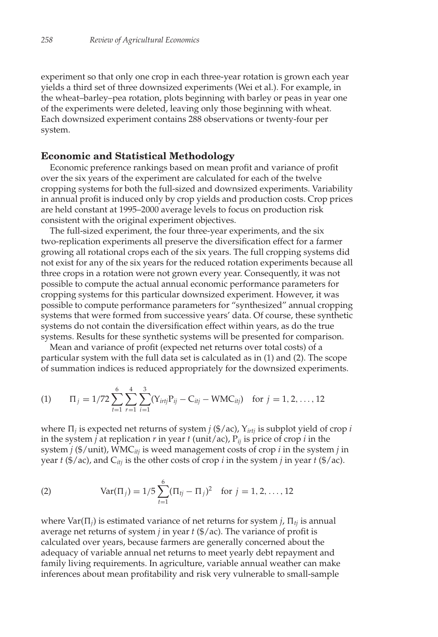experiment so that only one crop in each three-year rotation is grown each year yields a third set of three downsized experiments (Wei et al.). For example, in the wheat–barley–pea rotation, plots beginning with barley or peas in year one of the experiments were deleted, leaving only those beginning with wheat. Each downsized experiment contains 288 observations or twenty-four per system.

#### **Economic and Statistical Methodology**

Economic preference rankings based on mean profit and variance of profit over the six years of the experiment are calculated for each of the twelve cropping systems for both the full-sized and downsized experiments. Variability in annual profit is induced only by crop yields and production costs. Crop prices are held constant at 1995–2000 average levels to focus on production risk consistent with the original experiment objectives.

The full-sized experiment, the four three-year experiments, and the six two-replication experiments all preserve the diversification effect for a farmer growing all rotational crops each of the six years. The full cropping systems did not exist for any of the six years for the reduced rotation experiments because all three crops in a rotation were not grown every year. Consequently, it was not possible to compute the actual annual economic performance parameters for cropping systems for this particular downsized experiment. However, it was possible to compute performance parameters for "synthesized" annual cropping systems that were formed from successive years' data. Of course, these synthetic systems do not contain the diversification effect within years, as do the true systems. Results for these synthetic systems will be presented for comparison.

Mean and variance of profit (expected net returns over total costs) of a particular system with the full data set is calculated as in (1) and (2). The scope of summation indices is reduced appropriately for the downsized experiments.

(1) 
$$
\Pi_j = 1/72 \sum_{t=1}^6 \sum_{r=1}^4 \sum_{i=1}^3 (Y_{irtj} P_{ij} - C_{itj} - WMC_{itj}) \text{ for } j = 1, 2, ..., 12
$$

where -*<sup>j</sup>* is expected net returns of system *j* (\$/ac), Y*irtj* is subplot yield of crop *i* in the system *j* at replication *r* in year *t* (unit/ac), P*ij* is price of crop *i* in the system *j* (\$/unit), WMC*itj* is weed management costs of crop *i* in the system *j* in year *t* (\$/ac), and C*itj* is the other costs of crop *i* in the system *j* in year *t* (\$/ac).

(2) 
$$
Var(\Pi_j) = 1/5 \sum_{t=1}^{6} (\Pi_{tj} - \Pi_j)^2 \text{ for } j = 1, 2, ..., 12
$$

where Var( $\Pi_j$ ) is estimated variance of net returns for system *j*,  $\Pi_{tj}$  is annual average net returns of system *j* in year *t* (\$/ac). The variance of profit is calculated over years, because farmers are generally concerned about the adequacy of variable annual net returns to meet yearly debt repayment and family living requirements. In agriculture, variable annual weather can make inferences about mean profitability and risk very vulnerable to small-sample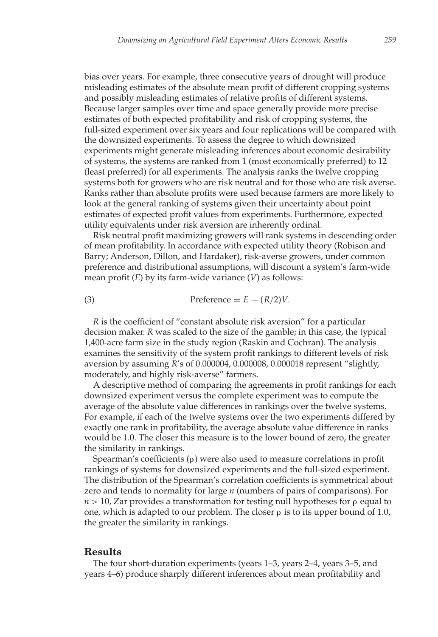bias over years. For example, three consecutive years of drought will produce misleading estimates of the absolute mean profit of different cropping systems and possibly misleading estimates of relative profits of different systems. Because larger samples over time and space generally provide more precise estimates of both expected profitability and risk of cropping systems, the full-sized experiment over six years and four replications will be compared with the downsized experiments. To assess the degree to which downsized experiments might generate misleading inferences about economic desirability of systems, the systems are ranked from 1 (most economically preferred) to 12 (least preferred) for all experiments. The analysis ranks the twelve cropping systems both for growers who are risk neutral and for those who are risk averse. Ranks rather than absolute profits were used because farmers are more likely to look at the general ranking of systems given their uncertainty about point estimates of expected profit values from experiments. Furthermore, expected utility equivalents under risk aversion are inherently ordinal.

Risk neutral profit maximizing growers will rank systems in descending order of mean profitability. In accordance with expected utility theory (Robison and Barry; Anderson, Dillon, and Hardaker), risk-averse growers, under common preference and distributional assumptions, will discount a system's farm-wide mean profit (*E*) by its farm-wide variance (*V*) as follows:

(3) 
$$
Préference = E - (R/2)V.
$$

*R* is the coefficient of "constant absolute risk aversion" for a particular decision maker. *R* was scaled to the size of the gamble; in this case, the typical 1,400-acre farm size in the study region (Raskin and Cochran). The analysis examines the sensitivity of the system profit rankings to different levels of risk aversion by assuming *R*'s of 0.000004, 0.000008, 0.000018 represent "slightly, moderately, and highly risk-averse" farmers.

A descriptive method of comparing the agreements in profit rankings for each downsized experiment versus the complete experiment was to compute the average of the absolute value differences in rankings over the twelve systems. For example, if each of the twelve systems over the two experiments differed by exactly one rank in profitability, the average absolute value difference in ranks would be 1.0. The closer this measure is to the lower bound of zero, the greater the similarity in rankings.

Spearman's coefficients ( $\rho$ ) were also used to measure correlations in profit rankings of systems for downsized experiments and the full-sized experiment. The distribution of the Spearman's correlation coefficients is symmetrical about zero and tends to normality for large *n* (numbers of pairs of comparisons). For  $n > 10$ , Zar provides a transformation for testing null hypotheses for  $\rho$  equal to one, which is adapted to our problem. The closer  $\rho$  is to its upper bound of 1.0, the greater the similarity in rankings.

#### **Results**

The four short-duration experiments (years 1–3, years 2–4, years 3–5, and years 4–6) produce sharply different inferences about mean profitability and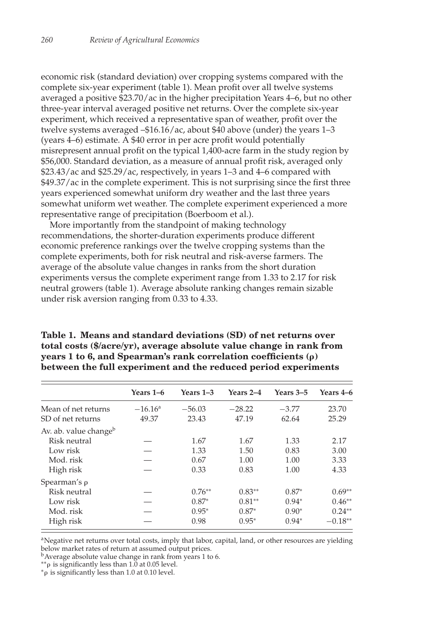economic risk (standard deviation) over cropping systems compared with the complete six-year experiment (table 1). Mean profit over all twelve systems averaged a positive \$23.70/ac in the higher precipitation Years 4–6, but no other three-year interval averaged positive net returns. Over the complete six-year experiment, which received a representative span of weather, profit over the twelve systems averaged –\$16.16/ac, about \$40 above (under) the years 1–3 (years 4–6) estimate. A \$40 error in per acre profit would potentially misrepresent annual profit on the typical 1,400-acre farm in the study region by \$56,000. Standard deviation, as a measure of annual profit risk, averaged only \$23.43/ac and \$25.29/ac, respectively, in years 1–3 and 4–6 compared with \$49.37/ac in the complete experiment. This is not surprising since the first three years experienced somewhat uniform dry weather and the last three years somewhat uniform wet weather. The complete experiment experienced a more representative range of precipitation (Boerboom et al.).

More importantly from the standpoint of making technology recommendations, the shorter-duration experiments produce different economic preference rankings over the twelve cropping systems than the complete experiments, both for risk neutral and risk-averse farmers. The average of the absolute value changes in ranks from the short duration experiments versus the complete experiment range from 1.33 to 2.17 for risk neutral growers (table 1). Average absolute ranking changes remain sizable under risk aversion ranging from 0.33 to 4.33.

| Years 1–6        | Years 1–3 | Years 2-4 | Years 3–5 | Years $4-6$ |
|------------------|-----------|-----------|-----------|-------------|
| $-16.16^{\circ}$ | $-56.03$  | $-28.22$  | $-3.77$   | 23.70       |
| 49.37            | 23.43     | 47.19     | 62.64     | 25.29       |
|                  |           |           |           |             |
|                  | 1.67      | 1.67      | 1.33      | 2.17        |
|                  | 1.33      | 1.50      | 0.83      | 3.00        |
|                  | 0.67      | 1.00      | 1.00      | 3.33        |
|                  | 0.33      | 0.83      | 1.00      | 4.33        |
|                  |           |           |           |             |
|                  | $0.76**$  | $0.83**$  | $0.87*$   | $0.69**$    |
|                  | $0.87*$   | $0.81**$  | $0.94*$   | $0.46**$    |
|                  | $0.95*$   | $0.87*$   | $0.90*$   | $0.24**$    |
|                  | 0.98      | $0.95*$   | $0.94*$   | $-0.18**$   |
|                  |           |           |           |             |

**Table 1. Means and standard deviations (SD) of net returns over total costs (\$/acre/yr), average absolute value change in rank from**  $\boldsymbol{\mathsf{years}}$  1 to 6, and Spearman's rank correlation coefficients  $(\boldsymbol{\mathsf{p}})$ **between the full experiment and the reduced period experiments**

<sup>a</sup>Negative net returns over total costs, imply that labor, capital, land, or other resources are yielding below market rates of return at assumed output prices.

b Average absolute value change in rank from years 1 to 6.

∗∗- is significantly less than 1.0 at 0.05 level.

∗- is significantly less than 1.0 at 0.10 level.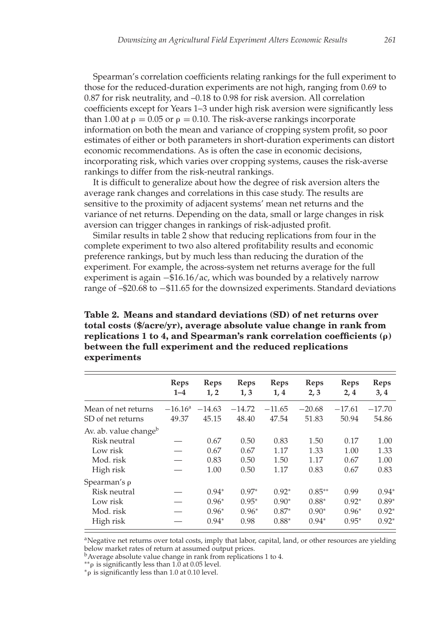Spearman's correlation coefficients relating rankings for the full experiment to those for the reduced-duration experiments are not high, ranging from 0.69 to 0.87 for risk neutrality, and –0.18 to 0.98 for risk aversion. All correlation coefficients except for Years 1–3 under high risk aversion were significantly less than 1.00 at  $\rho = 0.05$  or  $\rho = 0.10$ . The risk-averse rankings incorporate information on both the mean and variance of cropping system profit, so poor estimates of either or both parameters in short-duration experiments can distort economic recommendations. As is often the case in economic decisions, incorporating risk, which varies over cropping systems, causes the risk-averse rankings to differ from the risk-neutral rankings.

It is difficult to generalize about how the degree of risk aversion alters the average rank changes and correlations in this case study. The results are sensitive to the proximity of adjacent systems' mean net returns and the variance of net returns. Depending on the data, small or large changes in risk aversion can trigger changes in rankings of risk-adjusted profit.

Similar results in table 2 show that reducing replications from four in the complete experiment to two also altered profitability results and economic preference rankings, but by much less than reducing the duration of the experiment. For example, the across-system net returns average for the full experiment is again −\$16.16/ac, which was bounded by a relatively narrow range of –\$20.68 to −\$11.65 for the downsized experiments. Standard deviations

| Table 2. Means and standard deviations (SD) of net returns over            |
|----------------------------------------------------------------------------|
| total costs (\$/acre/yr), average absolute value change in rank from       |
| replications 1 to 4, and Spearman's rank correlation coefficients $(\rho)$ |
| between the full experiment and the reduced replications                   |
| experiments                                                                |

|                                                                                         | Reps             | Reps                                     | Reps                                  | Reps                                     | Reps                                       | Reps                                  | <b>Reps</b>                              |
|-----------------------------------------------------------------------------------------|------------------|------------------------------------------|---------------------------------------|------------------------------------------|--------------------------------------------|---------------------------------------|------------------------------------------|
|                                                                                         | $1 - 4$          | 1, 2                                     | 1, 3                                  | 1,4                                      | 2, 3                                       | 2,4                                   | 3,4                                      |
| Mean of net returns                                                                     | $-16.16^{\circ}$ | $-14.63$                                 | $-14.72$                              | $-11.65$                                 | $-20.68$                                   | $-17.61$                              | $-17.70$                                 |
| SD of net returns                                                                       | 49.37            | 45.15                                    | 48.40                                 | 47.54                                    | 51.83                                      | 50.94                                 | 54.86                                    |
| Av. ab. value change <sup>b</sup><br>Risk neutral<br>Low risk<br>Mod. risk<br>High risk |                  | 0.67<br>0.67<br>0.83<br>1.00             | 0.50<br>0.67<br>0.50<br>0.50          | 0.83<br>1.17<br>1.50<br>1.17             | 1.50<br>1.33<br>1.17<br>0.83               | 0.17<br>1.00<br>0.67<br>0.67          | 1.00<br>1.33<br>1.00<br>0.83             |
| Spearman's $\rho$<br>Risk neutral<br>Low risk<br>Mod. risk<br>High risk                 |                  | $0.94*$<br>$0.96*$<br>$0.96*$<br>$0.94*$ | $0.97*$<br>$0.95*$<br>$0.96*$<br>0.98 | $0.92*$<br>$0.90*$<br>$0.87*$<br>$0.88*$ | $0.85***$<br>$0.88*$<br>$0.90*$<br>$0.94*$ | 0.99<br>$0.92*$<br>$0.96*$<br>$0.95*$ | $0.94*$<br>$0.89*$<br>$0.92*$<br>$0.92*$ |

<sup>a</sup>Negative net returns over total costs, imply that labor, capital, land, or other resources are yielding below market rates of return at assumed output prices.

<sup>b</sup>Average absolute value change in rank from replications 1 to 4.

∗∗- is significantly less than 1.0 at 0.05 level.

∗- is significantly less than 1.0 at 0.10 level.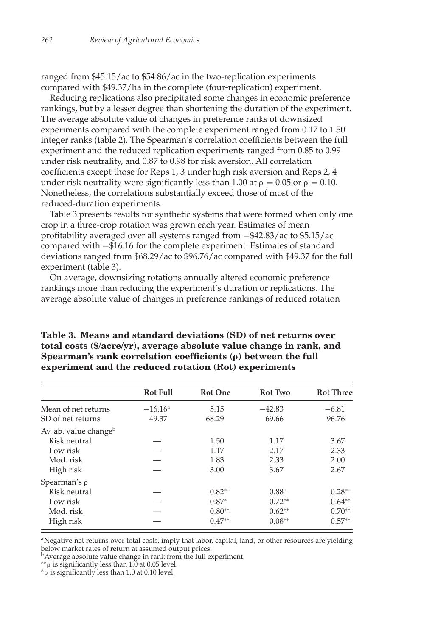ranged from \$45.15/ac to \$54.86/ac in the two-replication experiments compared with \$49.37/ha in the complete (four-replication) experiment.

Reducing replications also precipitated some changes in economic preference rankings, but by a lesser degree than shortening the duration of the experiment. The average absolute value of changes in preference ranks of downsized experiments compared with the complete experiment ranged from 0.17 to 1.50 integer ranks (table 2). The Spearman's correlation coefficients between the full experiment and the reduced replication experiments ranged from 0.85 to 0.99 under risk neutrality, and 0.87 to 0.98 for risk aversion. All correlation coefficients except those for Reps 1, 3 under high risk aversion and Reps 2, 4 under risk neutrality were significantly less than 1.00 at  $\rho = 0.05$  or  $\rho = 0.10$ . Nonetheless, the correlations substantially exceed those of most of the reduced-duration experiments.

Table 3 presents results for synthetic systems that were formed when only one crop in a three-crop rotation was grown each year. Estimates of mean profitability averaged over all systems ranged from −\$42.83/ac to \$5.15/ac compared with −\$16.16 for the complete experiment. Estimates of standard deviations ranged from \$68.29/ac to \$96.76/ac compared with \$49.37 for the full experiment (table 3).

On average, downsizing rotations annually altered economic preference rankings more than reducing the experiment's duration or replications. The average absolute value of changes in preference rankings of reduced rotation

| Table 3. Means and standard deviations (SD) of net returns over      |
|----------------------------------------------------------------------|
| total costs (\$/acre/yr), average absolute value change in rank, and |
| Spearman's rank correlation coefficients $(\rho)$ between the full   |
| experiment and the reduced rotation (Rot) experiments                |
|                                                                      |

|                                   | <b>Rot Full</b>  | <b>Rot One</b> | <b>Rot Two</b> | <b>Rot Three</b> |
|-----------------------------------|------------------|----------------|----------------|------------------|
| Mean of net returns               | $-16.16^{\circ}$ | 5.15           | $-42.83$       | $-6.81$          |
| SD of net returns                 | 49.37            | 68.29          | 69.66          | 96.76            |
| Av. ab. value change <sup>b</sup> |                  |                |                |                  |
| Risk neutral                      |                  | 1.50           | 1.17           | 3.67             |
| Low risk                          |                  | 1.17           | 2.17           | 2.33             |
| Mod. risk                         |                  | 1.83           | 2.33           | 2.00             |
| High risk                         |                  | 3.00           | 3.67           | 2.67             |
| Spearman's $\rho$                 |                  |                |                |                  |
| Risk neutral                      |                  | $0.82**$       | $0.88*$        | $0.28**$         |
| Low risk                          |                  | $0.87*$        | $0.72**$       | $0.64**$         |
| Mod. risk                         |                  | $0.80**$       | $0.62**$       | $0.70**$         |
| High risk                         |                  | $0.47**$       | $0.08**$       | $0.57**$         |

<sup>a</sup>Negative net returns over total costs, imply that labor, capital, land, or other resources are yielding below market rates of return at assumed output prices.

<sup>b</sup> Average absolute value change in rank from the full experiment.

∗∗- is significantly less than 1.0 at 0.05 level.

<sup>∗</sup>- is significantly less than 1.0 at 0.10 level.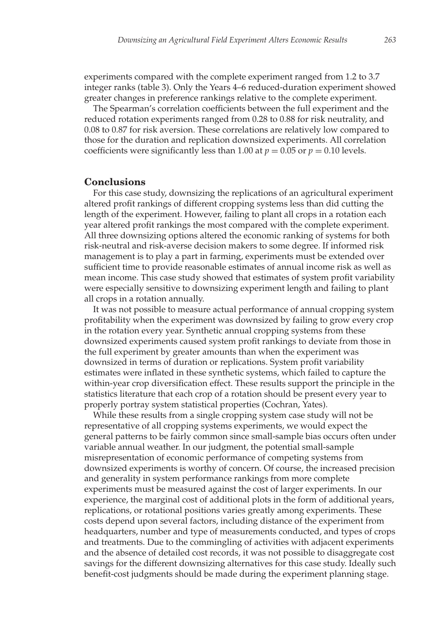experiments compared with the complete experiment ranged from 1.2 to 3.7 integer ranks (table 3). Only the Years 4–6 reduced-duration experiment showed greater changes in preference rankings relative to the complete experiment.

The Spearman's correlation coefficients between the full experiment and the reduced rotation experiments ranged from 0.28 to 0.88 for risk neutrality, and 0.08 to 0.87 for risk aversion. These correlations are relatively low compared to those for the duration and replication downsized experiments. All correlation coefficients were significantly less than 1.00 at  $p = 0.05$  or  $p = 0.10$  levels.

#### **Conclusions**

For this case study, downsizing the replications of an agricultural experiment altered profit rankings of different cropping systems less than did cutting the length of the experiment. However, failing to plant all crops in a rotation each year altered profit rankings the most compared with the complete experiment. All three downsizing options altered the economic ranking of systems for both risk-neutral and risk-averse decision makers to some degree. If informed risk management is to play a part in farming, experiments must be extended over sufficient time to provide reasonable estimates of annual income risk as well as mean income. This case study showed that estimates of system profit variability were especially sensitive to downsizing experiment length and failing to plant all crops in a rotation annually.

It was not possible to measure actual performance of annual cropping system profitability when the experiment was downsized by failing to grow every crop in the rotation every year. Synthetic annual cropping systems from these downsized experiments caused system profit rankings to deviate from those in the full experiment by greater amounts than when the experiment was downsized in terms of duration or replications. System profit variability estimates were inflated in these synthetic systems, which failed to capture the within-year crop diversification effect. These results support the principle in the statistics literature that each crop of a rotation should be present every year to properly portray system statistical properties (Cochran, Yates).

While these results from a single cropping system case study will not be representative of all cropping systems experiments, we would expect the general patterns to be fairly common since small-sample bias occurs often under variable annual weather. In our judgment, the potential small-sample misrepresentation of economic performance of competing systems from downsized experiments is worthy of concern. Of course, the increased precision and generality in system performance rankings from more complete experiments must be measured against the cost of larger experiments. In our experience, the marginal cost of additional plots in the form of additional years, replications, or rotational positions varies greatly among experiments. These costs depend upon several factors, including distance of the experiment from headquarters, number and type of measurements conducted, and types of crops and treatments. Due to the commingling of activities with adjacent experiments and the absence of detailed cost records, it was not possible to disaggregate cost savings for the different downsizing alternatives for this case study. Ideally such benefit-cost judgments should be made during the experiment planning stage.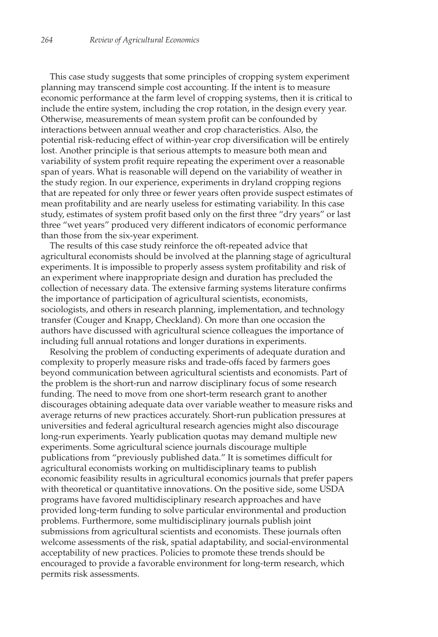This case study suggests that some principles of cropping system experiment planning may transcend simple cost accounting. If the intent is to measure economic performance at the farm level of cropping systems, then it is critical to include the entire system, including the crop rotation, in the design every year. Otherwise, measurements of mean system profit can be confounded by interactions between annual weather and crop characteristics. Also, the potential risk-reducing effect of within-year crop diversification will be entirely lost. Another principle is that serious attempts to measure both mean and variability of system profit require repeating the experiment over a reasonable span of years. What is reasonable will depend on the variability of weather in the study region. In our experience, experiments in dryland cropping regions that are repeated for only three or fewer years often provide suspect estimates of mean profitability and are nearly useless for estimating variability. In this case study, estimates of system profit based only on the first three "dry years" or last three "wet years" produced very different indicators of economic performance than those from the six-year experiment.

The results of this case study reinforce the oft-repeated advice that agricultural economists should be involved at the planning stage of agricultural experiments. It is impossible to properly assess system profitability and risk of an experiment where inappropriate design and duration has precluded the collection of necessary data. The extensive farming systems literature confirms the importance of participation of agricultural scientists, economists, sociologists, and others in research planning, implementation, and technology transfer (Couger and Knapp, Checkland). On more than one occasion the authors have discussed with agricultural science colleagues the importance of including full annual rotations and longer durations in experiments.

Resolving the problem of conducting experiments of adequate duration and complexity to properly measure risks and trade-offs faced by farmers goes beyond communication between agricultural scientists and economists. Part of the problem is the short-run and narrow disciplinary focus of some research funding. The need to move from one short-term research grant to another discourages obtaining adequate data over variable weather to measure risks and average returns of new practices accurately. Short-run publication pressures at universities and federal agricultural research agencies might also discourage long-run experiments. Yearly publication quotas may demand multiple new experiments. Some agricultural science journals discourage multiple publications from "previously published data." It is sometimes difficult for agricultural economists working on multidisciplinary teams to publish economic feasibility results in agricultural economics journals that prefer papers with theoretical or quantitative innovations. On the positive side, some USDA programs have favored multidisciplinary research approaches and have provided long-term funding to solve particular environmental and production problems. Furthermore, some multidisciplinary journals publish joint submissions from agricultural scientists and economists. These journals often welcome assessments of the risk, spatial adaptability, and social-environmental acceptability of new practices. Policies to promote these trends should be encouraged to provide a favorable environment for long-term research, which permits risk assessments.